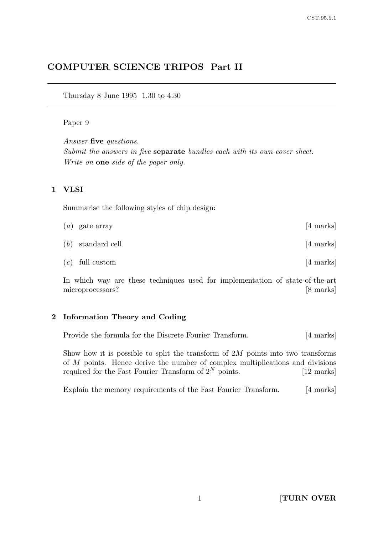# COMPUTER SCIENCE TRIPOS Part II

Thursday 8 June 1995 1.30 to 4.30

### Paper 9

Answer five questions. Submit the answers in five separate bundles each with its own cover sheet. Write on one side of the paper only.

# 1 VLSI

Summarise the following styles of chip design:

| $(a)$ gate array    | $[4 \text{ marks}]$ |
|---------------------|---------------------|
| $(b)$ standard cell | [4 marks]           |
| $(c)$ full custom   | [4 marks]           |

In which way are these techniques used for implementation of state-of-the-art microprocessors? [8 marks]

# 2 Information Theory and Coding

Provide the formula for the Discrete Fourier Transform. [4 marks]

Show how it is possible to split the transform of  $2M$  points into two transforms of M points. Hence derive the number of complex multiplications and divisions required for the Fast Fourier Transform of  $2^N$  points. [12 marks]

Explain the memory requirements of the Fast Fourier Transform. [4 marks]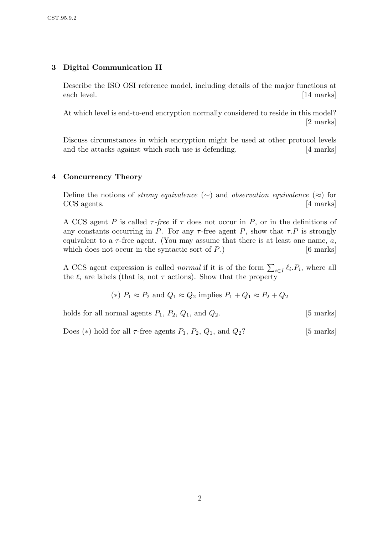# 3 Digital Communication II

Describe the ISO OSI reference model, including details of the major functions at each level. [14 marks]

At which level is end-to-end encryption normally considered to reside in this model? [2 marks]

Discuss circumstances in which encryption might be used at other protocol levels and the attacks against which such use is defending. [4 marks]

# 4 Concurrency Theory

Define the notions of *strong equivalence* (∼) and *observation equivalence* (≈) for CCS agents. [4 marks]

A CCS agent P is called  $\tau$ -free if  $\tau$  does not occur in P, or in the definitions of any constants occurring in P. For any  $\tau$ -free agent P, show that  $\tau$ . P is strongly equivalent to a  $\tau$ -free agent. (You may assume that there is at least one name, a, which does not occur in the syntactic sort of  $P$ .) [6 marks]

A CCS agent expression is called *normal* if it is of the form  $\sum_{i\in I} \ell_i P_i$ , where all the  $\ell_i$  are labels (that is, not  $\tau$  actions). Show that the property

(\*) 
$$
P_1 \approx P_2
$$
 and  $Q_1 \approx Q_2$  implies  $P_1 + Q_1 \approx P_2 + Q_2$ 

holds for all normal agents  $P_1$ ,  $P_2$ ,  $Q_1$ , and  $Q_2$ . [5 marks]

Does (\*) hold for all  $\tau$ -free agents  $P_1$ ,  $P_2$ ,  $Q_1$ , and  $Q_2$ ? [5 marks]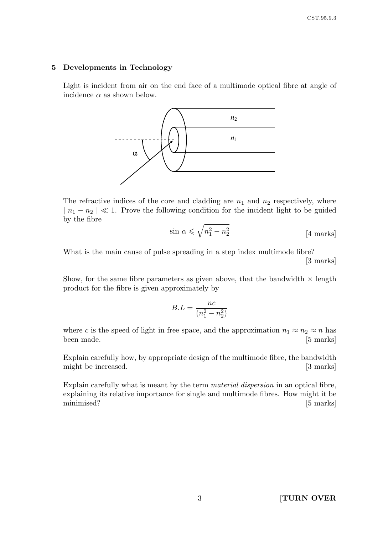#### 5 Developments in Technology

Light is incident from air on the end face of a multimode optical fibre at angle of incidence  $\alpha$  as shown below.



The refractive indices of the core and cladding are  $n_1$  and  $n_2$  respectively, where  $|n_1 - n_2| \ll 1$ . Prove the following condition for the incident light to be guided by the fibre

$$
\sin \alpha \leqslant \sqrt{n_1^2 - n_2^2} \tag{4 marks}
$$

What is the main cause of pulse spreading in a step index multimode fibre? [3 marks]

Show, for the same fibre parameters as given above, that the bandwidth  $\times$  length product for the fibre is given approximately by

$$
B.L = \frac{nc}{(n_1^2 - n_2^2)}
$$

where c is the speed of light in free space, and the approximation  $n_1 \approx n_2 \approx n$  has been made. [5 marks]

Explain carefully how, by appropriate design of the multimode fibre, the bandwidth might be increased. [3 marks]

Explain carefully what is meant by the term material dispersion in an optical fibre, explaining its relative importance for single and multimode fibres. How might it be minimised? [5 marks]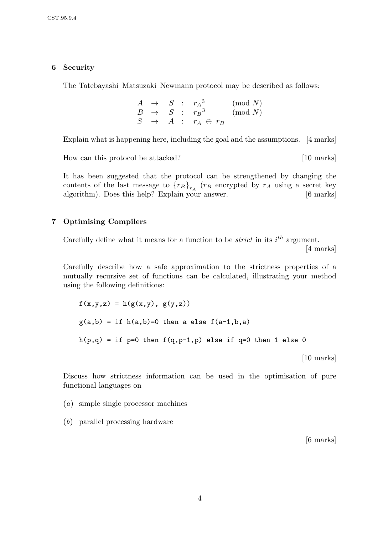### 6 Security

The Tatebayashi–Matsuzaki–Newmann protocol may be described as follows:

$$
\begin{array}{ccccccccc}\nA & \to & S & : & r_A^3 & (\text{mod } N) \\
B & \to & S & : & r_B^3 & (\text{mod } N) \\
S & \to & A & : & r_A \oplus r_B\n\end{array}
$$

Explain what is happening here, including the goal and the assumptions. [4 marks]

How can this protocol be attacked? [10 marks]

It has been suggested that the protocol can be strengthened by changing the contents of the last message to  ${r_B}_{r_A}$  ( $r_B$  encrypted by  $r_A$  using a secret key algorithm). Does this help? Explain your answer. [6 marks]

### 7 Optimising Compilers

Carefully define what it means for a function to be *strict* in its  $i^{th}$  argument.

[4 marks]

Carefully describe how a safe approximation to the strictness properties of a mutually recursive set of functions can be calculated, illustrating your method using the following definitions:

```
f(x,y,z) = h(g(x,y), g(y,z))g(a,b) = if h(a,b)=0 then a else f(a-1,b,a)h(p,q) = if p=0 then f(q,p-1,p) else if q=0 then 1 else 0
```
[10 marks]

Discuss how strictness information can be used in the optimisation of pure functional languages on

- (a) simple single processor machines
- (b) parallel processing hardware

[6 marks]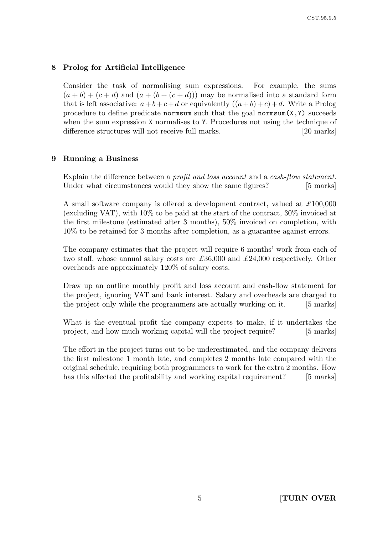# 8 Prolog for Artificial Intelligence

Consider the task of normalising sum expressions. For example, the sums  $(a + b) + (c + d)$  and  $(a + (b + (c + d)))$  may be normalised into a standard form that is left associative:  $a+b+c+d$  or equivalently  $((a+b)+c)+d$ . Write a Prolog procedure to define predicate normsum such that the goal normsum $(X, Y)$  succeeds when the sum expression X normalises to Y. Procedures not using the technique of difference structures will not receive full marks. [20 marks]

### 9 Running a Business

Explain the difference between a *profit and loss account* and a *cash-flow statement*. Under what circumstances would they show the same figures? [5 marks]

A small software company is offered a development contract, valued at  $\pounds 100,000$ (excluding VAT), with 10% to be paid at the start of the contract, 30% invoiced at the first milestone (estimated after 3 months), 50% invoiced on completion, with 10% to be retained for 3 months after completion, as a guarantee against errors.

The company estimates that the project will require 6 months' work from each of two staff, whose annual salary costs are  $\pounds 36,000$  and  $\pounds 24,000$  respectively. Other overheads are approximately 120% of salary costs.

Draw up an outline monthly profit and loss account and cash-flow statement for the project, ignoring VAT and bank interest. Salary and overheads are charged to the project only while the programmers are actually working on it. [5 marks]

What is the eventual profit the company expects to make, if it undertakes the project, and how much working capital will the project require? [5 marks]

The effort in the project turns out to be underestimated, and the company delivers the first milestone 1 month late, and completes 2 months late compared with the original schedule, requiring both programmers to work for the extra 2 months. How has this affected the profitability and working capital requirement? [5 marks]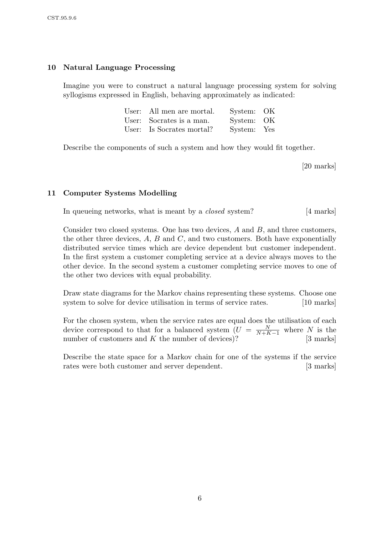### 10 Natural Language Processing

Imagine you were to construct a natural language processing system for solving syllogisms expressed in English, behaving approximately as indicated:

| User: All men are mortal. | System: OK  |  |
|---------------------------|-------------|--|
| User: Socrates is a man.  | System: OK  |  |
| User: Is Socrates mortal? | System: Yes |  |

Describe the components of such a system and how they would fit together.

[20 marks]

#### 11 Computer Systems Modelling

In queueing networks, what is meant by a *closed* system? [4 marks]

Consider two closed systems. One has two devices, A and B, and three customers, the other three devices,  $A$ ,  $B$  and  $C$ , and two customers. Both have exponentially distributed service times which are device dependent but customer independent. In the first system a customer completing service at a device always moves to the other device. In the second system a customer completing service moves to one of the other two devices with equal probability.

Draw state diagrams for the Markov chains representing these systems. Choose one system to solve for device utilisation in terms of service rates. [10 marks]

For the chosen system, when the service rates are equal does the utilisation of each device correspond to that for a balanced system  $(U = \frac{N}{N+k}$  $\frac{N}{N+K-1}$  where N is the number of customers and  $K$  the number of devices)? [3 marks]

Describe the state space for a Markov chain for one of the systems if the service rates were both customer and server dependent. [3 marks]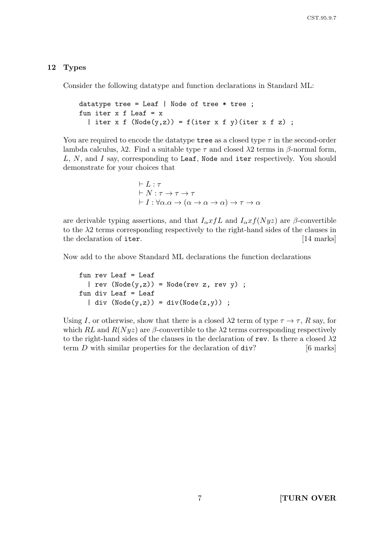#### 12 Types

Consider the following datatype and function declarations in Standard ML:

```
datatype tree = Leaf | Node of tree * tree;
fun iter x f Leaf = x| iter x f (Node(y, z)) = f(iter x f y)(iter x f z);
```
You are required to encode the datatype tree as a closed type  $\tau$  in the second-order lambda calculus,  $\lambda$ 2. Find a suitable type  $\tau$  and closed  $\lambda$ 2 terms in  $\beta$ -normal form, L, N, and I say, corresponding to Leaf, Node and iter respectively. You should demonstrate for your choices that

> $\vdash$  L  $\cdot$   $\tau$  $\vdash N : \tau \to \tau \to \tau$  $\vdash I : \forall \alpha . \alpha \rightarrow (\alpha \rightarrow \alpha \rightarrow \alpha) \rightarrow \tau \rightarrow \alpha$

are derivable typing assertions, and that  $I_{\alpha} x f L$  and  $I_{\alpha} x f (Nyz)$  are  $\beta$ -convertible to the  $\lambda$ 2 terms corresponding respectively to the right-hand sides of the clauses in the declaration of iter. [14 marks]

Now add to the above Standard ML declarations the function declarations

fun rev Leaf = Leaf  $| rev (Node(y, z)) = Node(rev z, rev y)$ ; fun div Leaf = Leaf | div  $(Node(y,z)) = div(Node(z,y))$ ;

Using I, or otherwise, show that there is a closed  $\lambda$ 2 term of type  $\tau \to \tau$ , R say, for which RL and  $R(Nyz)$  are  $\beta$ -convertible to the  $\lambda$ 2 terms corresponding respectively to the right-hand sides of the clauses in the declaration of rev. Is there a closed  $\lambda$ 2 term  $D$  with similar properties for the declaration of  $div?$  [6 marks]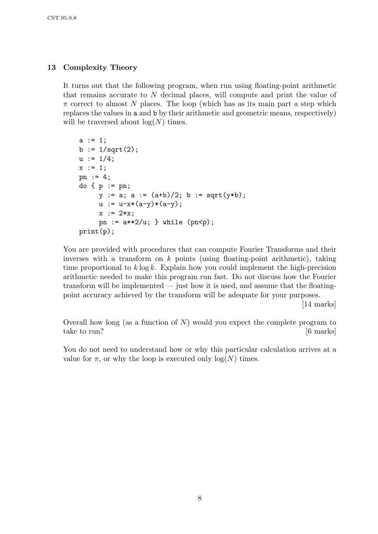## 13 Complexity Theory

It turns out that the following program, when run using floating-point arithmetic that remains accurate to N decimal places, will compute and print the value of  $\pi$  correct to almost N places. The loop (which has as its main part a step which replaces the values in a and b by their arithmetic and geometric means, respectively) will be traversed about  $log(N)$  times.

```
a := 1;b := 1/sqrt(2);u := 1/4;x := 1;pn := 4;
do \{ p := pn \}y := a; a := (a+b)/2; b := sqrt(y*b);
     u := u-x*(a-y)*(a-y);x := 2*x:
     pn := a**2/u; } while (pn < p);print(p);
```
You are provided with procedures that can compute Fourier Transforms and their inverses with a transform on  $k$  points (using floating-point arithmetic), taking time proportional to  $k \log k$ . Explain how you could implement the high-precision arithmetic needed to make this program run fast. Do not discuss how the Fourier transform will be implemented — just how it is used, and assume that the floatingpoint accuracy achieved by the transform will be adequate for your purposes.

[14 marks]

Overall how long (as a function of  $N$ ) would you expect the complete program to take to run? [6 marks]

You do not need to understand how or why this particular calculation arrives at a value for  $\pi$ , or why the loop is executed only  $\log(N)$  times.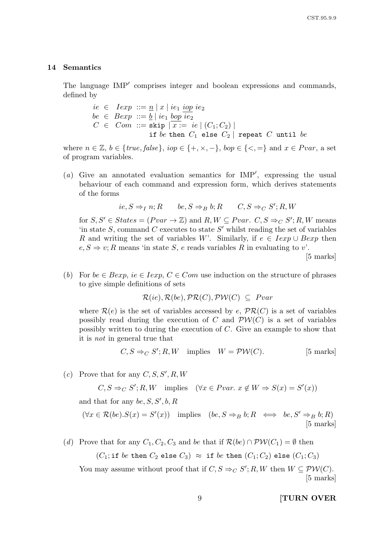#### 14 Semantics

The language IMP<sup>'</sup> comprises integer and boolean expressions and commands, defined by

> $ie \in Iexp ::= n | x | ie_1 iop ie_2$  $be \in \text{Bexp} ::= b \mid ie_1 \text{ loop} \overline{ie_2}$  $C \in Com := \text{skip} |\overline{x} = ie | (C_1; C_2)|$ if be then  $C_1$  else  $C_2$  | repeat  $C$  until be

where  $n \in \mathbb{Z}$ ,  $b \in \{true, false\}$ ,  $iop \in \{+, \times, -\}$ ,  $bop \in \{\leq, =\}$  and  $x \in Pvar$ , a set of program variables.

(a) Give an annotated evaluation semantics for  $IMP'$ , expressing the usual behaviour of each command and expression form, which derives statements of the forms

$$
ie, S \Rightarrow_I n; R \qquad be, S \Rightarrow_B b; R \qquad C, S \Rightarrow_C S'; R, W
$$

for  $S, S' \in States = (Pvar \rightarrow \mathbb{Z})$  and  $R, W \subseteq Pvar$ .  $C, S \Rightarrow_C S'; R, W$  means 'in state  $S$ , command  $C$  executes to state  $S'$  whilst reading the set of variables R and writing the set of variables W'. Similarly, if  $e \in \text{I}exp \cup \text{B}exp$  then  $e, S \Rightarrow v; R$  means 'in state S, e reads variables R in evaluating to v'.

[5 marks]

(b) For  $be \in Bexp$ ,  $ie \in Iexp$ ,  $C \in Com$  use induction on the structure of phrases to give simple definitions of sets

$$
\mathcal{R}(ie), \mathcal{R}(be), \mathcal{PR}(C), \mathcal{PW}(C) \subseteq \text{Pvar}
$$

where  $\mathcal{R}(e)$  is the set of variables accessed by e,  $\mathcal{PR}(C)$  is a set of variables possibly read during the execution of C and  $PW(C)$  is a set of variables possibly written to during the execution of C. Give an example to show that it is not in general true that

$$
C, S \Rightarrow_C S'; R, W \text{ implies } W = \mathcal{PW}(C). \tag{5 marks}
$$

(c) Prove that for any  $C, S, S', R, W$ 

 $C, S \Rightarrow_C S'; R, W$  implies  $(\forall x \in Pvar. \ x \notin W \Rightarrow S(x) = S'(x))$ 

and that for any be,  $S, S', b, R$ 

 $(\forall x \in \mathcal{R}(be). S(x) = S'(x))$  implies  $(be, S \Rightarrow_B b; R \iff be, S' \Rightarrow_B b; R)$ [5 marks]

(d) Prove that for any  $C_1, C_2, C_3$  and be that if  $\mathcal{R}(be) \cap \mathcal{PW}(C_1) = \emptyset$  then

 $(C_1; \text{if } be \text{ then } C_2 \text{ else } C_3) \approx \text{if } be \text{ then } (C_1; C_2) \text{ else } (C_1; C_3)$ 

You may assume without proof that if  $C, S \Rightarrow_C S'; R, W$  then  $W \subseteq \mathcal{PW}(C)$ . [5 marks]

9 **[TURN OVER**